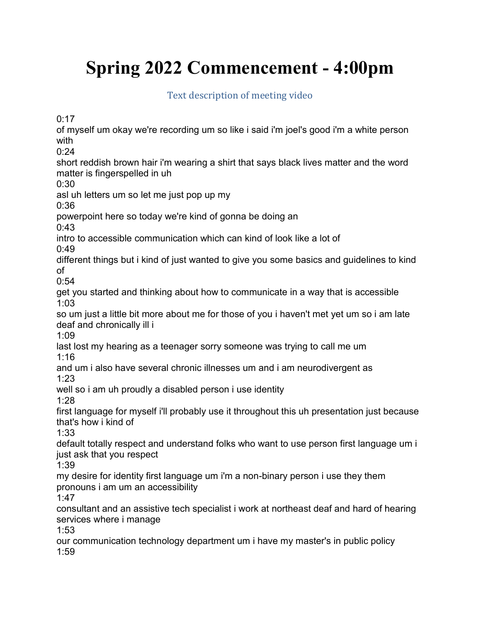## Spring 2022 Commencement - 4:00pm

Text description of meeting video

 $0:17$ 

of myself um okay we're recording um so like i said i'm joel's good i'm a white person with

 $0.24$ 

short reddish brown hair i'm wearing a shirt that says black lives matter and the word matter is fingerspelled in uh

0:30

asl uh letters um so let me just pop up my

0:36

powerpoint here so today we're kind of gonna be doing an

0:43

intro to accessible communication which can kind of look like a lot of

0:49

different things but i kind of just wanted to give you some basics and guidelines to kind of

0:54

get you started and thinking about how to communicate in a way that is accessible 1:03

so um just a little bit more about me for those of you i haven't met yet um so i am late deaf and chronically ill i

1:09

last lost my hearing as a teenager sorry someone was trying to call me um 1:16

and um i also have several chronic illnesses um and i am neurodivergent as 1:23

well so i am uh proudly a disabled person i use identity

1:28

first language for myself i'll probably use it throughout this uh presentation just because that's how i kind of

1:33

default totally respect and understand folks who want to use person first language um i just ask that you respect

1:39

my desire for identity first language um i'm a non-binary person i use they them pronouns i am um an accessibility

1:47

consultant and an assistive tech specialist i work at northeast deaf and hard of hearing services where i manage

1:53

our communication technology department um i have my master's in public policy 1:59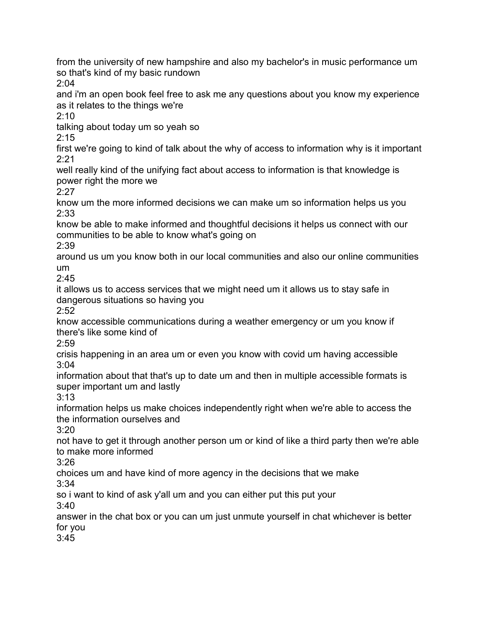from the university of new hampshire and also my bachelor's in music performance um so that's kind of my basic rundown

2:04

and i'm an open book feel free to ask me any questions about you know my experience as it relates to the things we're

2:10

talking about today um so yeah so

2:15

first we're going to kind of talk about the why of access to information why is it important 2:21

well really kind of the unifying fact about access to information is that knowledge is power right the more we

2:27

know um the more informed decisions we can make um so information helps us you 2:33

know be able to make informed and thoughtful decisions it helps us connect with our communities to be able to know what's going on

2:39

around us um you know both in our local communities and also our online communities um

 $2:45$ 

it allows us to access services that we might need um it allows us to stay safe in dangerous situations so having you

2:52

know accessible communications during a weather emergency or um you know if there's like some kind of

2:59

crisis happening in an area um or even you know with covid um having accessible 3:04

information about that that's up to date um and then in multiple accessible formats is super important um and lastly

3:13

information helps us make choices independently right when we're able to access the the information ourselves and

3:20

not have to get it through another person um or kind of like a third party then we're able to make more informed

3:26

choices um and have kind of more agency in the decisions that we make

3:34

so i want to kind of ask y'all um and you can either put this put your 3:40

answer in the chat box or you can um just unmute yourself in chat whichever is better for you

3:45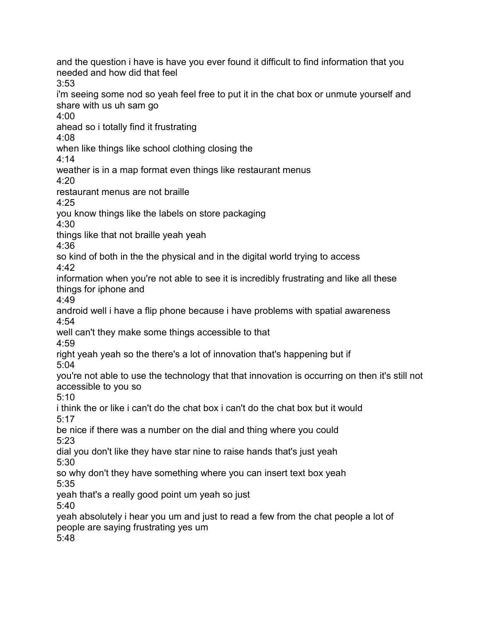and the question i have is have you ever found it difficult to find information that you needed and how did that feel 3:53 i'm seeing some nod so yeah feel free to put it in the chat box or unmute yourself and share with us uh sam go 4:00 ahead so i totally find it frustrating 4:08 when like things like school clothing closing the 4:14 weather is in a map format even things like restaurant menus 4:20 restaurant menus are not braille 4:25 you know things like the labels on store packaging 4:30 things like that not braille yeah yeah 4:36 so kind of both in the the physical and in the digital world trying to access  $4.42$ information when you're not able to see it is incredibly frustrating and like all these things for iphone and 4:49 android well i have a flip phone because i have problems with spatial awareness 4:54 well can't they make some things accessible to that 4:59 right yeah yeah so the there's a lot of innovation that's happening but if 5:04 you're not able to use the technology that that innovation is occurring on then it's still not accessible to you so 5:10 i think the or like i can't do the chat box i can't do the chat box but it would 5:17 be nice if there was a number on the dial and thing where you could 5:23 dial you don't like they have star nine to raise hands that's just yeah 5:30 so why don't they have something where you can insert text box yeah 5:35 yeah that's a really good point um yeah so just  $5:40$ yeah absolutely i hear you um and just to read a few from the chat people a lot of people are saying frustrating yes um 5:48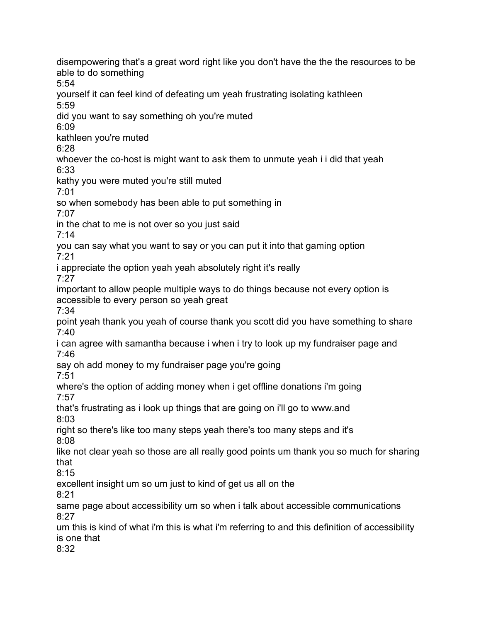disempowering that's a great word right like you don't have the the the resources to be able to do something 5:54 yourself it can feel kind of defeating um yeah frustrating isolating kathleen 5:59 did you want to say something oh you're muted 6:09 kathleen you're muted 6:28 whoever the co-host is might want to ask them to unmute yeah i i did that yeah 6:33 kathy you were muted you're still muted 7:01 so when somebody has been able to put something in 7:07 in the chat to me is not over so you just said 7:14 you can say what you want to say or you can put it into that gaming option 7:21 i appreciate the option yeah yeah absolutely right it's really 7:27 important to allow people multiple ways to do things because not every option is accessible to every person so yeah great 7:34 point yeah thank you yeah of course thank you scott did you have something to share 7:40 i can agree with samantha because i when i try to look up my fundraiser page and 7:46 say oh add money to my fundraiser page you're going 7:51 where's the option of adding money when i get offline donations i'm going 7:57 that's frustrating as i look up things that are going on i'll go to www.and 8:03 right so there's like too many steps yeah there's too many steps and it's 8:08 like not clear yeah so those are all really good points um thank you so much for sharing that 8:15 excellent insight um so um just to kind of get us all on the 8:21 same page about accessibility um so when i talk about accessible communications 8:27 um this is kind of what i'm this is what i'm referring to and this definition of accessibility is one that 8:32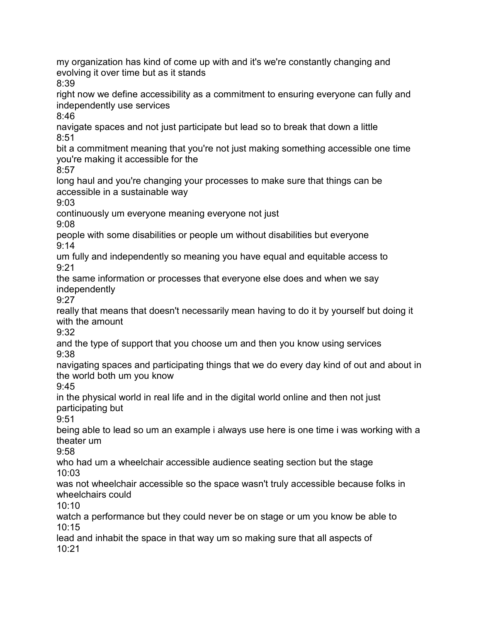my organization has kind of come up with and it's we're constantly changing and evolving it over time but as it stands 8:39 right now we define accessibility as a commitment to ensuring everyone can fully and independently use services

8:46

navigate spaces and not just participate but lead so to break that down a little 8:51

bit a commitment meaning that you're not just making something accessible one time you're making it accessible for the

 $8:57$ 

long haul and you're changing your processes to make sure that things can be accessible in a sustainable way

9:03

continuously um everyone meaning everyone not just

9:08

people with some disabilities or people um without disabilities but everyone 9:14

um fully and independently so meaning you have equal and equitable access to  $9.21$ 

the same information or processes that everyone else does and when we say independently

9:27

really that means that doesn't necessarily mean having to do it by yourself but doing it with the amount

9:32

and the type of support that you choose um and then you know using services 9:38

navigating spaces and participating things that we do every day kind of out and about in the world both um you know

9:45

in the physical world in real life and in the digital world online and then not just participating but

9:51

being able to lead so um an example i always use here is one time i was working with a theater um

9:58

who had um a wheelchair accessible audience seating section but the stage 10:03

was not wheelchair accessible so the space wasn't truly accessible because folks in wheelchairs could

 $10:10$ 

watch a performance but they could never be on stage or um you know be able to 10:15

lead and inhabit the space in that way um so making sure that all aspects of 10:21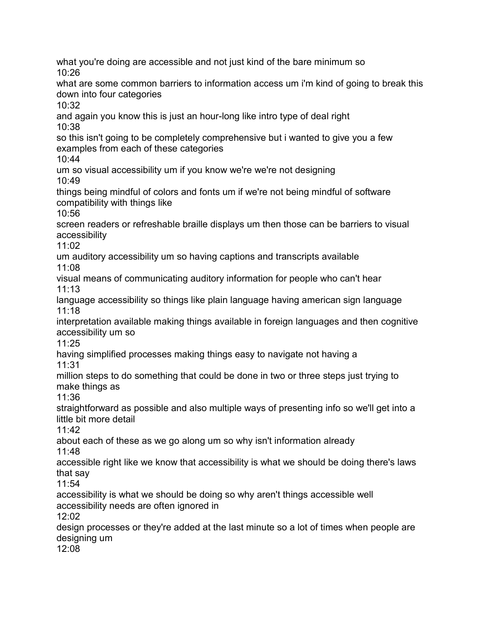what you're doing are accessible and not just kind of the bare minimum so  $10.26$ what are some common barriers to information access um i'm kind of going to break this down into four categories  $10:32$ and again you know this is just an hour-long like intro type of deal right 10:38 so this isn't going to be completely comprehensive but i wanted to give you a few examples from each of these categories 10:44 um so visual accessibility um if you know we're we're not designing 10:49 things being mindful of colors and fonts um if we're not being mindful of software compatibility with things like 10:56 screen readers or refreshable braille displays um then those can be barriers to visual accessibility 11:02 um auditory accessibility um so having captions and transcripts available 11:08 visual means of communicating auditory information for people who can't hear 11:13 language accessibility so things like plain language having american sign language 11:18 interpretation available making things available in foreign languages and then cognitive accessibility um so 11:25 having simplified processes making things easy to navigate not having a 11:31 million steps to do something that could be done in two or three steps just trying to make things as 11:36 straightforward as possible and also multiple ways of presenting info so we'll get into a little bit more detail 11:42 about each of these as we go along um so why isn't information already 11:48 accessible right like we know that accessibility is what we should be doing there's laws that say 11:54 accessibility is what we should be doing so why aren't things accessible well accessibility needs are often ignored in 12:02 design processes or they're added at the last minute so a lot of times when people are designing um 12:08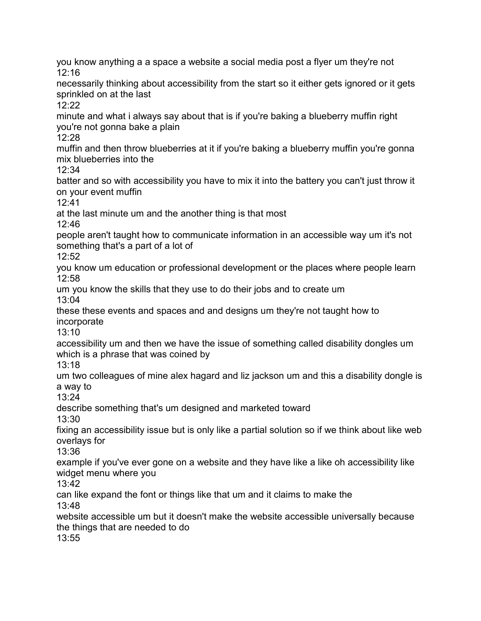you know anything a a space a website a social media post a flyer um they're not  $12.16$ necessarily thinking about accessibility from the start so it either gets ignored or it gets sprinkled on at the last  $12.22$ minute and what i always say about that is if you're baking a blueberry muffin right you're not gonna bake a plain 12:28 muffin and then throw blueberries at it if you're baking a blueberry muffin you're gonna mix blueberries into the  $12.34$ batter and so with accessibility you have to mix it into the battery you can't just throw it on your event muffin 12:41 at the last minute um and the another thing is that most 12:46 people aren't taught how to communicate information in an accessible way um it's not something that's a part of a lot of 12:52 you know um education or professional development or the places where people learn 12:58 um you know the skills that they use to do their jobs and to create um 13:04 these these events and spaces and and designs um they're not taught how to incorporate 13:10 accessibility um and then we have the issue of something called disability dongles um which is a phrase that was coined by 13:18 um two colleagues of mine alex hagard and liz jackson um and this a disability dongle is a way to 13:24 describe something that's um designed and marketed toward 13:30 fixing an accessibility issue but is only like a partial solution so if we think about like web overlays for 13:36 example if you've ever gone on a website and they have like a like oh accessibility like widget menu where you 13:42 can like expand the font or things like that um and it claims to make the 13:48 website accessible um but it doesn't make the website accessible universally because the things that are needed to do 13:55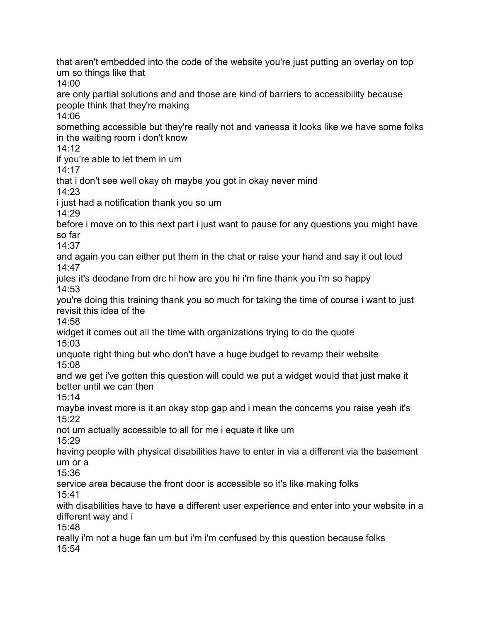that aren't embedded into the code of the website you're just putting an overlay on top um so things like that 14:00 are only partial solutions and and those are kind of barriers to accessibility because people think that they're making 14:06 something accessible but they're really not and vanessa it looks like we have some folks in the waiting room i don't know 14:12 if you're able to let them in um 14:17 that i don't see well okay oh maybe you got in okay never mind 14:23 i just had a notification thank you so um  $14.29$ before i move on to this next part i just want to pause for any questions you might have so far 14:37 and again you can either put them in the chat or raise your hand and say it out loud 14:47 jules it's deodane from drc hi how are you hi i'm fine thank you i'm so happy 14:53 you're doing this training thank you so much for taking the time of course i want to just revisit this idea of the 14:58 widget it comes out all the time with organizations trying to do the quote 15:03 unquote right thing but who don't have a huge budget to revamp their website 15:08 and we get i've gotten this question will could we put a widget would that just make it better until we can then  $15:14$ maybe invest more is it an okay stop gap and i mean the concerns you raise yeah it's 15:22 not um actually accessible to all for me i equate it like um 15:29 having people with physical disabilities have to enter in via a different via the basement um or a 15:36 service area because the front door is accessible so it's like making folks 15:41 with disabilities have to have a different user experience and enter into your website in a different way and i 15:48 really i'm not a huge fan um but i'm i'm confused by this question because folks 15:54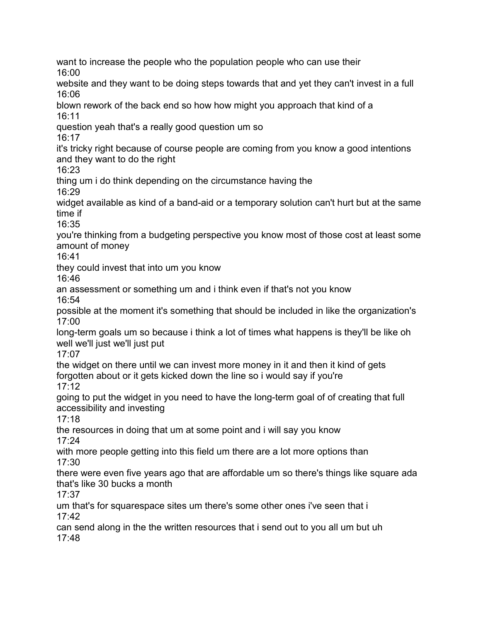want to increase the people who the population people who can use their 16:00 website and they want to be doing steps towards that and yet they can't invest in a full 16:06 blown rework of the back end so how how might you approach that kind of a 16:11

question yeah that's a really good question um so

16:17

it's tricky right because of course people are coming from you know a good intentions and they want to do the right

16:23

thing um i do think depending on the circumstance having the 16:29

widget available as kind of a band-aid or a temporary solution can't hurt but at the same time if

16:35

you're thinking from a budgeting perspective you know most of those cost at least some amount of money

16:41

they could invest that into um you know

16:46

an assessment or something um and i think even if that's not you know

16:54

possible at the moment it's something that should be included in like the organization's 17:00

long-term goals um so because i think a lot of times what happens is they'll be like oh well we'll just we'll just put

17:07

the widget on there until we can invest more money in it and then it kind of gets forgotten about or it gets kicked down the line so i would say if you're 17:12

going to put the widget in you need to have the long-term goal of of creating that full accessibility and investing

17:18

the resources in doing that um at some point and i will say you know 17:24

with more people getting into this field um there are a lot more options than 17:30

there were even five years ago that are affordable um so there's things like square ada that's like 30 bucks a month

17:37

um that's for squarespace sites um there's some other ones i've seen that i 17:42

can send along in the the written resources that i send out to you all um but uh 17:48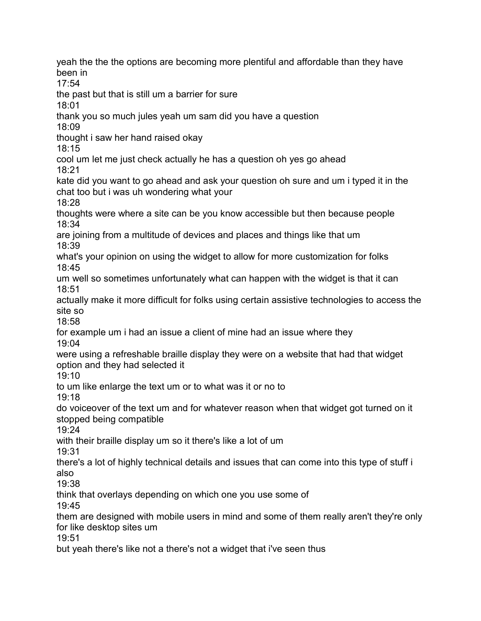yeah the the the options are becoming more plentiful and affordable than they have been in 17:54 the past but that is still um a barrier for sure 18:01 thank you so much jules yeah um sam did you have a question 18:09 thought i saw her hand raised okay 18:15 cool um let me just check actually he has a question oh yes go ahead 18:21 kate did you want to go ahead and ask your question oh sure and um i typed it in the chat too but i was uh wondering what your 18:28 thoughts were where a site can be you know accessible but then because people 18:34 are joining from a multitude of devices and places and things like that um 18:39 what's your opinion on using the widget to allow for more customization for folks 18:45 um well so sometimes unfortunately what can happen with the widget is that it can 18:51 actually make it more difficult for folks using certain assistive technologies to access the site so 18:58 for example um i had an issue a client of mine had an issue where they 19:04 were using a refreshable braille display they were on a website that had that widget option and they had selected it 19:10 to um like enlarge the text um or to what was it or no to 19:18 do voiceover of the text um and for whatever reason when that widget got turned on it stopped being compatible 19:24 with their braille display um so it there's like a lot of um 19:31 there's a lot of highly technical details and issues that can come into this type of stuff i also 19:38 think that overlays depending on which one you use some of 19:45 them are designed with mobile users in mind and some of them really aren't they're only for like desktop sites um 19:51 but yeah there's like not a there's not a widget that i've seen thus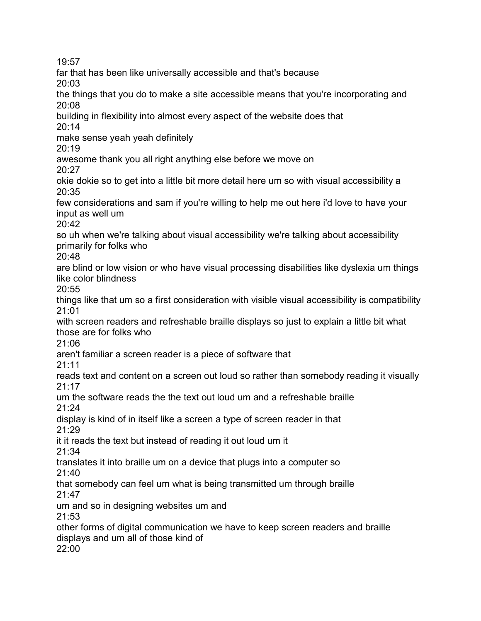19:57

far that has been like universally accessible and that's because

20:03

the things that you do to make a site accessible means that you're incorporating and 20:08

building in flexibility into almost every aspect of the website does that 20:14

make sense yeah yeah definitely

20:19

awesome thank you all right anything else before we move on

20:27

okie dokie so to get into a little bit more detail here um so with visual accessibility a 20:35

few considerations and sam if you're willing to help me out here i'd love to have your input as well um

20:42

so uh when we're talking about visual accessibility we're talking about accessibility primarily for folks who

20:48

are blind or low vision or who have visual processing disabilities like dyslexia um things like color blindness

20:55

things like that um so a first consideration with visible visual accessibility is compatibility 21:01

with screen readers and refreshable braille displays so just to explain a little bit what those are for folks who

21:06

aren't familiar a screen reader is a piece of software that

21:11

reads text and content on a screen out loud so rather than somebody reading it visually 21:17

um the software reads the the text out loud um and a refreshable braille 21:24

display is kind of in itself like a screen a type of screen reader in that 21:29

it it reads the text but instead of reading it out loud um it

21:34

translates it into braille um on a device that plugs into a computer so

21:40

that somebody can feel um what is being transmitted um through braille 21:47

um and so in designing websites um and

21:53

other forms of digital communication we have to keep screen readers and braille displays and um all of those kind of

22:00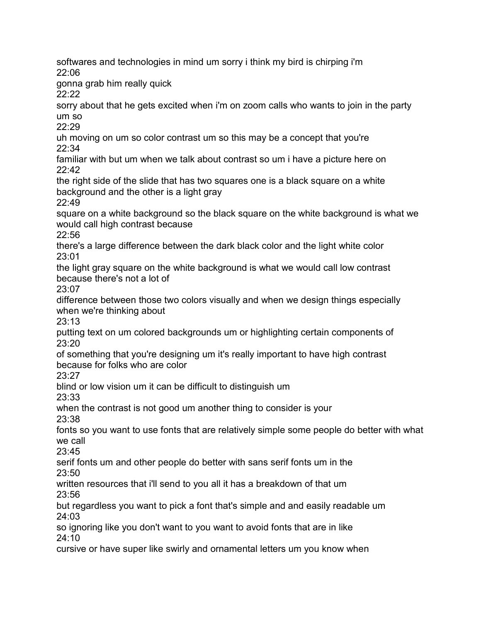softwares and technologies in mind um sorry i think my bird is chirping i'm  $22.06$ 

gonna grab him really quick

22:22

sorry about that he gets excited when i'm on zoom calls who wants to join in the party um so

 $22.29$ 

uh moving on um so color contrast um so this may be a concept that you're 22:34

familiar with but um when we talk about contrast so um i have a picture here on  $22.42$ 

the right side of the slide that has two squares one is a black square on a white background and the other is a light gray

22:49

square on a white background so the black square on the white background is what we would call high contrast because

22:56

there's a large difference between the dark black color and the light white color 23:01

the light gray square on the white background is what we would call low contrast because there's not a lot of

23:07

difference between those two colors visually and when we design things especially when we're thinking about

23:13

putting text on um colored backgrounds um or highlighting certain components of 23:20

of something that you're designing um it's really important to have high contrast because for folks who are color

23:27

blind or low vision um it can be difficult to distinguish um

23:33

when the contrast is not good um another thing to consider is your 23:38

fonts so you want to use fonts that are relatively simple some people do better with what we call

 $23.45$ 

serif fonts um and other people do better with sans serif fonts um in the 23:50

written resources that i'll send to you all it has a breakdown of that um 23:56

but regardless you want to pick a font that's simple and and easily readable um 24:03

so ignoring like you don't want to you want to avoid fonts that are in like 24:10

cursive or have super like swirly and ornamental letters um you know when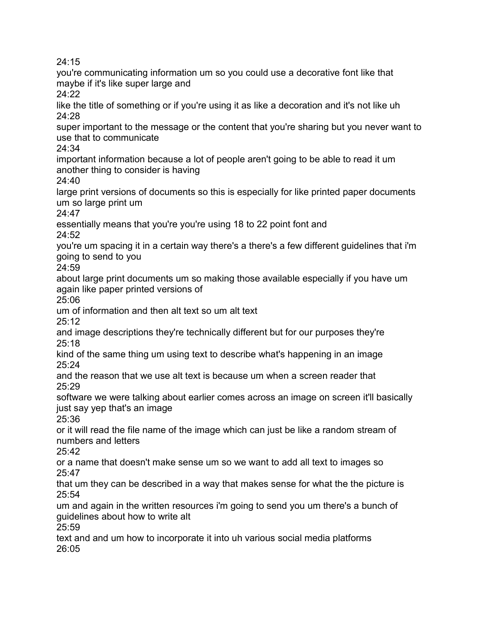24:15

you're communicating information um so you could use a decorative font like that maybe if it's like super large and

24:22

like the title of something or if you're using it as like a decoration and it's not like uh 24:28

super important to the message or the content that you're sharing but you never want to use that to communicate

24:34

important information because a lot of people aren't going to be able to read it um another thing to consider is having

24:40

large print versions of documents so this is especially for like printed paper documents um so large print um

 $24.47$ 

essentially means that you're you're using 18 to 22 point font and  $24:52$ 

you're um spacing it in a certain way there's a there's a few different guidelines that i'm going to send to you

 $24:59$ 

about large print documents um so making those available especially if you have um again like paper printed versions of

25:06

um of information and then alt text so um alt text

 $25.12$ 

and image descriptions they're technically different but for our purposes they're 25:18

kind of the same thing um using text to describe what's happening in an image 25:24

and the reason that we use alt text is because um when a screen reader that  $25:29$ 

software we were talking about earlier comes across an image on screen it'll basically just say yep that's an image

25:36

or it will read the file name of the image which can just be like a random stream of numbers and letters

25:42

or a name that doesn't make sense um so we want to add all text to images so 25:47

that um they can be described in a way that makes sense for what the the picture is 25:54

um and again in the written resources i'm going to send you um there's a bunch of guidelines about how to write alt

25:59

text and and um how to incorporate it into uh various social media platforms 26:05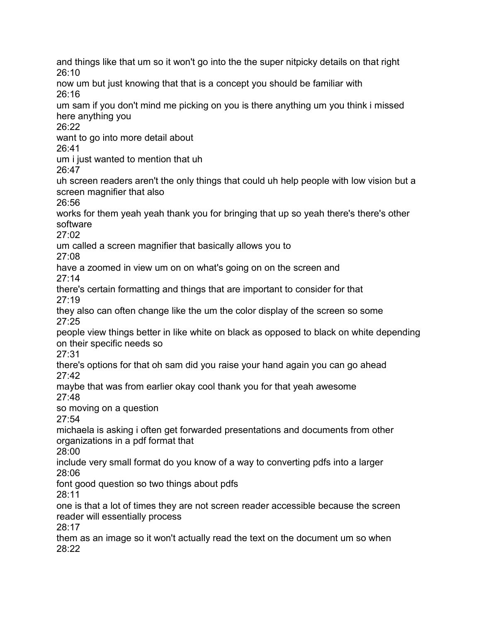and things like that um so it won't go into the the super nitpicky details on that right 26:10 now um but just knowing that that is a concept you should be familiar with 26:16 um sam if you don't mind me picking on you is there anything um you think i missed here anything you  $26.22$ want to go into more detail about 26:41 um i just wanted to mention that uh 26:47 uh screen readers aren't the only things that could uh help people with low vision but a screen magnifier that also 26:56 works for them yeah yeah thank you for bringing that up so yeah there's there's other software  $27:02$ um called a screen magnifier that basically allows you to 27:08 have a zoomed in view um on on what's going on on the screen and 27:14 there's certain formatting and things that are important to consider for that 27:19 they also can often change like the um the color display of the screen so some 27:25 people view things better in like white on black as opposed to black on white depending on their specific needs so 27:31 there's options for that oh sam did you raise your hand again you can go ahead 27:42 maybe that was from earlier okay cool thank you for that yeah awesome 27:48 so moving on a question 27:54 michaela is asking i often get forwarded presentations and documents from other organizations in a pdf format that 28:00 include very small format do you know of a way to converting pdfs into a larger 28:06 font good question so two things about pdfs 28:11 one is that a lot of times they are not screen reader accessible because the screen reader will essentially process 28:17 them as an image so it won't actually read the text on the document um so when 28:22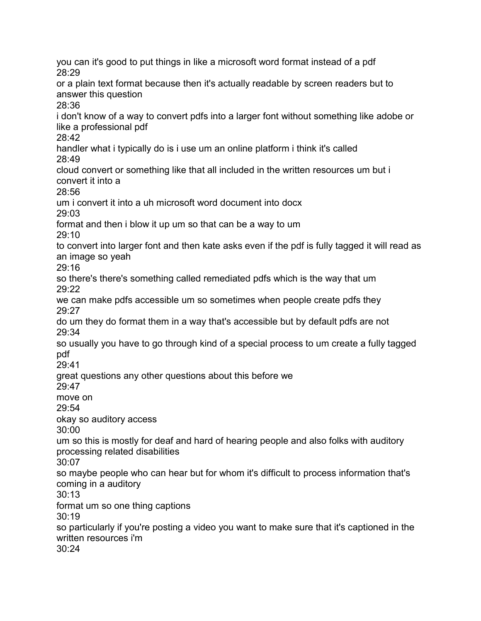you can it's good to put things in like a microsoft word format instead of a pdf 28:29 or a plain text format because then it's actually readable by screen readers but to answer this question 28:36 i don't know of a way to convert pdfs into a larger font without something like adobe or like a professional pdf 28:42 handler what i typically do is i use um an online platform i think it's called 28:49 cloud convert or something like that all included in the written resources um but i convert it into a 28:56 um i convert it into a uh microsoft word document into docx 29:03 format and then i blow it up um so that can be a way to um 29:10 to convert into larger font and then kate asks even if the pdf is fully tagged it will read as an image so yeah  $29.16$ so there's there's something called remediated pdfs which is the way that um 29:22 we can make pdfs accessible um so sometimes when people create pdfs they 29:27 do um they do format them in a way that's accessible but by default pdfs are not 29:34 so usually you have to go through kind of a special process to um create a fully tagged pdf 29:41 great questions any other questions about this before we 29:47 move on 29:54 okay so auditory access 30:00 um so this is mostly for deaf and hard of hearing people and also folks with auditory processing related disabilities 30:07 so maybe people who can hear but for whom it's difficult to process information that's coming in a auditory 30:13 format um so one thing captions 30:19 so particularly if you're posting a video you want to make sure that it's captioned in the written resources i'm 30:24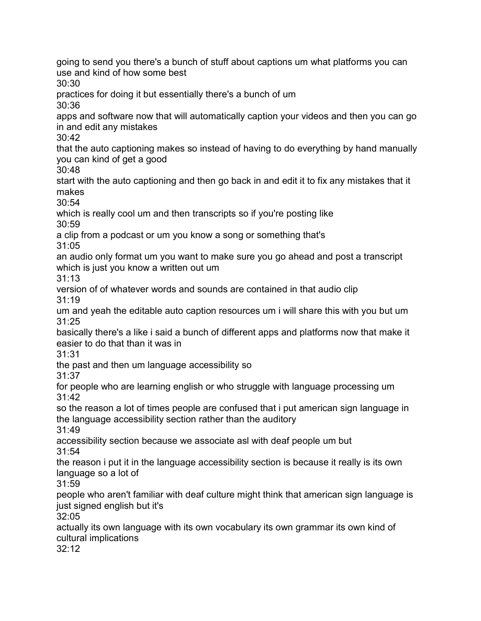going to send you there's a bunch of stuff about captions um what platforms you can use and kind of how some best 30:30 practices for doing it but essentially there's a bunch of um 30:36 apps and software now that will automatically caption your videos and then you can go in and edit any mistakes 30:42 that the auto captioning makes so instead of having to do everything by hand manually you can kind of get a good 30:48 start with the auto captioning and then go back in and edit it to fix any mistakes that it makes 30:54 which is really cool um and then transcripts so if you're posting like 30:59 a clip from a podcast or um you know a song or something that's 31:05 an audio only format um you want to make sure you go ahead and post a transcript which is just you know a written out um 31:13 version of of whatever words and sounds are contained in that audio clip 31:19 um and yeah the editable auto caption resources um i will share this with you but um 31:25 basically there's a like i said a bunch of different apps and platforms now that make it easier to do that than it was in 31:31 the past and then um language accessibility so 31:37 for people who are learning english or who struggle with language processing um 31:42 so the reason a lot of times people are confused that i put american sign language in the language accessibility section rather than the auditory 31:49 accessibility section because we associate asl with deaf people um but 31:54 the reason i put it in the language accessibility section is because it really is its own language so a lot of 31:59 people who aren't familiar with deaf culture might think that american sign language is just signed english but it's 32:05 actually its own language with its own vocabulary its own grammar its own kind of cultural implications 32:12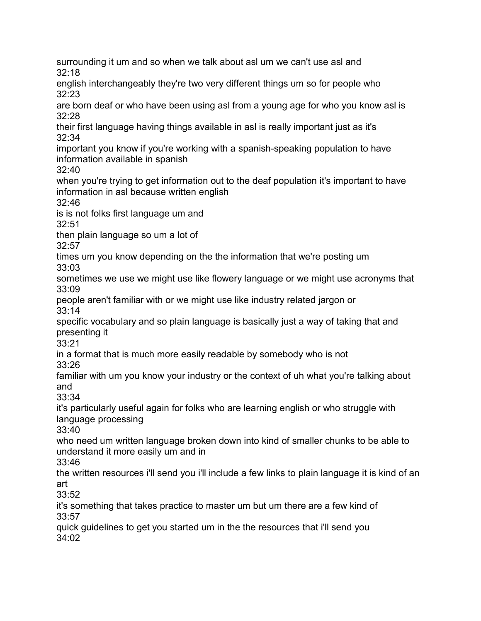surrounding it um and so when we talk about asl um we can't use asl and  $32.18$ 

english interchangeably they're two very different things um so for people who 32:23

are born deaf or who have been using asl from a young age for who you know asl is 32:28

their first language having things available in asl is really important just as it's 32:34

important you know if you're working with a spanish-speaking population to have information available in spanish

32:40

when you're trying to get information out to the deaf population it's important to have information in asl because written english

32:46

is is not folks first language um and

32:51

then plain language so um a lot of

32:57

times um you know depending on the the information that we're posting um

33:03

sometimes we use we might use like flowery language or we might use acronyms that 33:09

people aren't familiar with or we might use like industry related jargon or 33:14

specific vocabulary and so plain language is basically just a way of taking that and presenting it

33:21

in a format that is much more easily readable by somebody who is not

33:26

familiar with um you know your industry or the context of uh what you're talking about and

33:34

it's particularly useful again for folks who are learning english or who struggle with language processing

33:40

who need um written language broken down into kind of smaller chunks to be able to understand it more easily um and in

33:46

the written resources i'll send you i'll include a few links to plain language it is kind of an art

33:52

it's something that takes practice to master um but um there are a few kind of 33:57

quick guidelines to get you started um in the the resources that i'll send you 34:02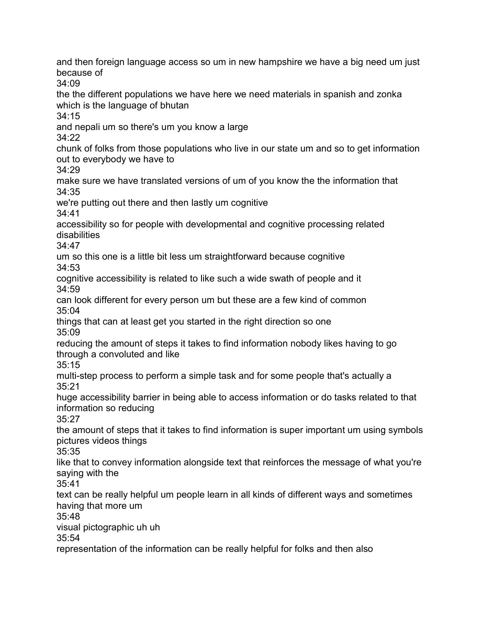and then foreign language access so um in new hampshire we have a big need um just because of 34:09 the the different populations we have here we need materials in spanish and zonka which is the language of bhutan 34:15 and nepali um so there's um you know a large 34:22 chunk of folks from those populations who live in our state um and so to get information out to everybody we have to 34:29 make sure we have translated versions of um of you know the the information that 34:35 we're putting out there and then lastly um cognitive 34:41 accessibility so for people with developmental and cognitive processing related disabilities 34:47 um so this one is a little bit less um straightforward because cognitive 34:53 cognitive accessibility is related to like such a wide swath of people and it 34:59 can look different for every person um but these are a few kind of common 35:04 things that can at least get you started in the right direction so one 35:09 reducing the amount of steps it takes to find information nobody likes having to go through a convoluted and like 35:15 multi-step process to perform a simple task and for some people that's actually a 35:21 huge accessibility barrier in being able to access information or do tasks related to that information so reducing 35:27 the amount of steps that it takes to find information is super important um using symbols pictures videos things 35:35 like that to convey information alongside text that reinforces the message of what you're saying with the 35:41 text can be really helpful um people learn in all kinds of different ways and sometimes having that more um 35:48 visual pictographic uh uh 35:54 representation of the information can be really helpful for folks and then also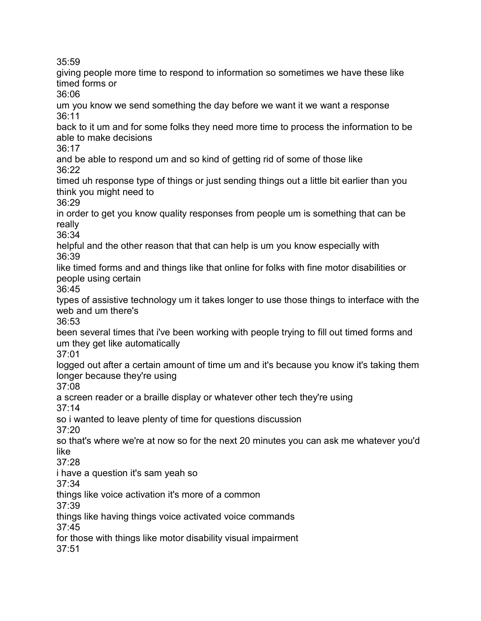35:59

giving people more time to respond to information so sometimes we have these like timed forms or 36:06 um you know we send something the day before we want it we want a response 36:11 back to it um and for some folks they need more time to process the information to be able to make decisions 36:17 and be able to respond um and so kind of getting rid of some of those like 36:22 timed uh response type of things or just sending things out a little bit earlier than you think you might need to 36:29 in order to get you know quality responses from people um is something that can be really 36:34 helpful and the other reason that that can help is um you know especially with 36:39 like timed forms and and things like that online for folks with fine motor disabilities or people using certain 36:45 types of assistive technology um it takes longer to use those things to interface with the web and um there's 36:53 been several times that i've been working with people trying to fill out timed forms and um they get like automatically 37:01 logged out after a certain amount of time um and it's because you know it's taking them longer because they're using 37:08 a screen reader or a braille display or whatever other tech they're using 37:14 so i wanted to leave plenty of time for questions discussion 37:20 so that's where we're at now so for the next 20 minutes you can ask me whatever you'd like 37:28 i have a question it's sam yeah so 37:34 things like voice activation it's more of a common 37:39 things like having things voice activated voice commands 37:45 for those with things like motor disability visual impairment 37:51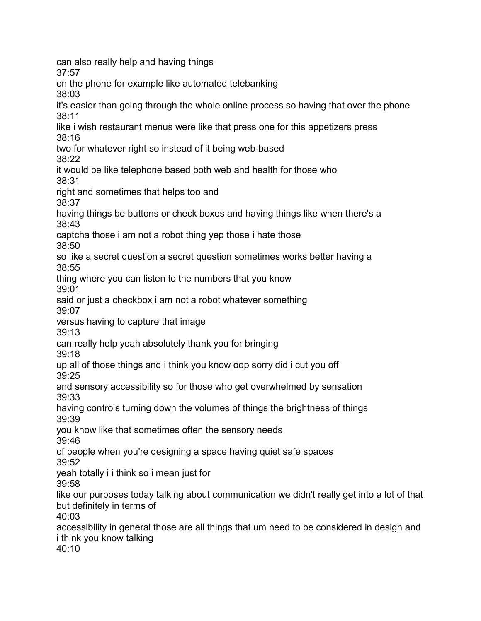can also really help and having things 37:57 on the phone for example like automated telebanking 38:03 it's easier than going through the whole online process so having that over the phone 38:11 like i wish restaurant menus were like that press one for this appetizers press 38:16 two for whatever right so instead of it being web-based 38:22 it would be like telephone based both web and health for those who 38:31 right and sometimes that helps too and 38:37 having things be buttons or check boxes and having things like when there's a 38:43 captcha those i am not a robot thing yep those i hate those 38:50 so like a secret question a secret question sometimes works better having a 38:55 thing where you can listen to the numbers that you know 39:01 said or just a checkbox i am not a robot whatever something 39:07 versus having to capture that image 39:13 can really help yeah absolutely thank you for bringing 39:18 up all of those things and i think you know oop sorry did i cut you off 39:25 and sensory accessibility so for those who get overwhelmed by sensation 39:33 having controls turning down the volumes of things the brightness of things 39:39 you know like that sometimes often the sensory needs 39:46 of people when you're designing a space having quiet safe spaces 39:52 yeah totally i i think so i mean just for 39:58 like our purposes today talking about communication we didn't really get into a lot of that but definitely in terms of 40:03 accessibility in general those are all things that um need to be considered in design and i think you know talking

 $40:10$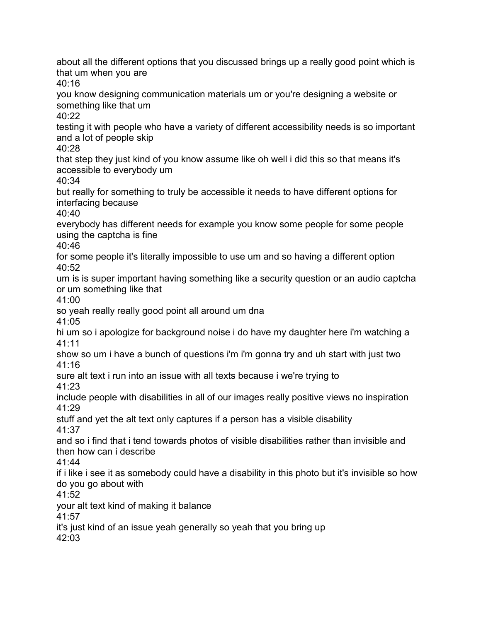about all the different options that you discussed brings up a really good point which is that um when you are 40:16 you know designing communication materials um or you're designing a website or something like that um 40:22 testing it with people who have a variety of different accessibility needs is so important and a lot of people skip 40:28 that step they just kind of you know assume like oh well i did this so that means it's accessible to everybody um 40:34 but really for something to truly be accessible it needs to have different options for interfacing because  $40.40$ everybody has different needs for example you know some people for some people using the captcha is fine 40:46 for some people it's literally impossible to use um and so having a different option  $40.52$ um is is super important having something like a security question or an audio captcha or um something like that 41:00 so yeah really really good point all around um dna 41:05 hi um so i apologize for background noise i do have my daughter here i'm watching a 41:11 show so um i have a bunch of questions i'm i'm gonna try and uh start with just two 41:16 sure alt text i run into an issue with all texts because i we're trying to 41:23 include people with disabilities in all of our images really positive views no inspiration 41:29 stuff and yet the alt text only captures if a person has a visible disability 41:37 and so i find that i tend towards photos of visible disabilities rather than invisible and then how can i describe 41:44 if i like i see it as somebody could have a disability in this photo but it's invisible so how do you go about with 41:52 your alt text kind of making it balance 41:57 it's just kind of an issue yeah generally so yeah that you bring up  $42.03$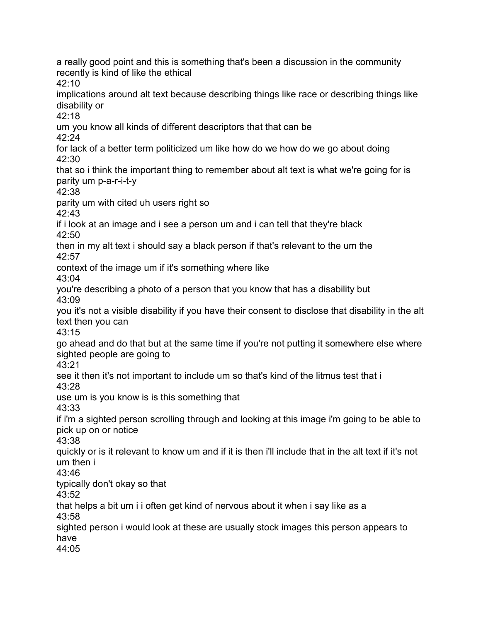a really good point and this is something that's been a discussion in the community recently is kind of like the ethical 42:10 implications around alt text because describing things like race or describing things like disability or 42:18 um you know all kinds of different descriptors that that can be 42:24 for lack of a better term politicized um like how do we how do we go about doing 42:30 that so i think the important thing to remember about alt text is what we're going for is parity um p-a-r-i-t-y 42:38 parity um with cited uh users right so  $42.43$ if i look at an image and i see a person um and i can tell that they're black 42:50 then in my alt text i should say a black person if that's relevant to the um the 42:57 context of the image um if it's something where like 43:04 you're describing a photo of a person that you know that has a disability but 43:09 you it's not a visible disability if you have their consent to disclose that disability in the alt text then you can 43:15 go ahead and do that but at the same time if you're not putting it somewhere else where sighted people are going to 43:21 see it then it's not important to include um so that's kind of the litmus test that i 43:28 use um is you know is is this something that 43:33 if i'm a sighted person scrolling through and looking at this image i'm going to be able to pick up on or notice 43:38 quickly or is it relevant to know um and if it is then i'll include that in the alt text if it's not um then i 43:46 typically don't okay so that 43:52 that helps a bit um i i often get kind of nervous about it when i say like as a 43:58 sighted person i would look at these are usually stock images this person appears to have 44:05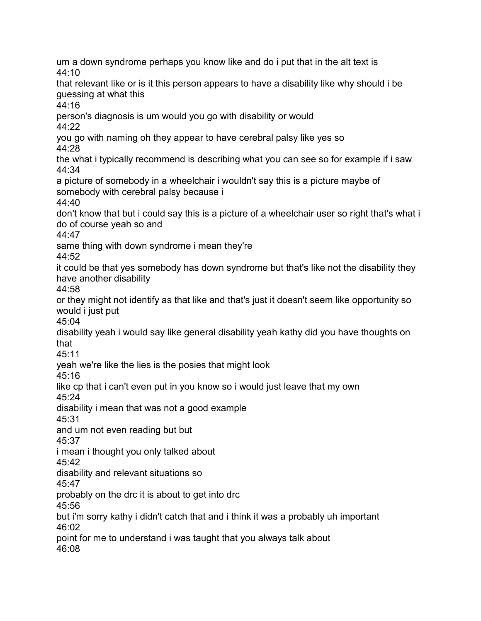um a down syndrome perhaps you know like and do i put that in the alt text is  $44.10$ that relevant like or is it this person appears to have a disability like why should i be guessing at what this 44:16 person's diagnosis is um would you go with disability or would  $44.22$ you go with naming oh they appear to have cerebral palsy like yes so 44:28 the what i typically recommend is describing what you can see so for example if i saw 44:34 a picture of somebody in a wheelchair i wouldn't say this is a picture maybe of somebody with cerebral palsy because i 44:40 don't know that but i could say this is a picture of a wheelchair user so right that's what i do of course yeah so and 44:47 same thing with down syndrome i mean they're 44:52 it could be that yes somebody has down syndrome but that's like not the disability they have another disability 44:58 or they might not identify as that like and that's just it doesn't seem like opportunity so would i just put 45:04 disability yeah i would say like general disability yeah kathy did you have thoughts on that 45:11 yeah we're like the lies is the posies that might look 45:16 like cp that i can't even put in you know so i would just leave that my own 45:24 disability i mean that was not a good example 45:31 and um not even reading but but 45:37 i mean i thought you only talked about 45:42 disability and relevant situations so 45:47 probably on the drc it is about to get into drc 45:56 but i'm sorry kathy i didn't catch that and i think it was a probably uh important 46:02 point for me to understand i was taught that you always talk about 46:08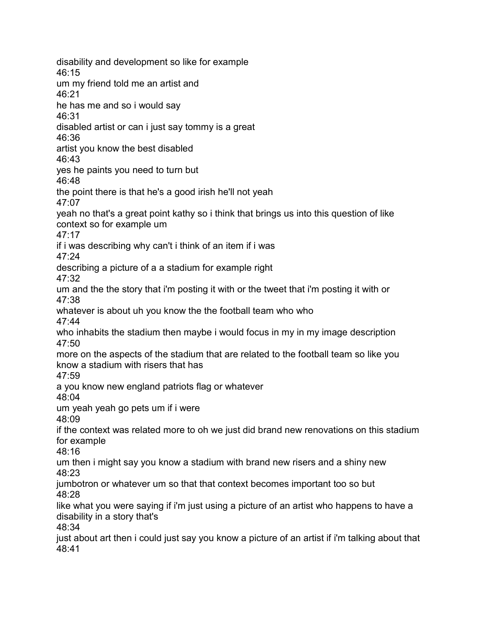disability and development so like for example  $46.15$ um my friend told me an artist and 46:21 he has me and so i would say 46:31 disabled artist or can i just say tommy is a great 46:36 artist you know the best disabled 46:43 yes he paints you need to turn but 46:48 the point there is that he's a good irish he'll not yeah 47:07 yeah no that's a great point kathy so i think that brings us into this question of like context so for example um 47:17 if i was describing why can't i think of an item if i was 47:24 describing a picture of a a stadium for example right 47:32 um and the the story that i'm posting it with or the tweet that i'm posting it with or 47:38 whatever is about uh you know the the football team who who 47:44 who inhabits the stadium then maybe i would focus in my in my image description 47:50 more on the aspects of the stadium that are related to the football team so like you know a stadium with risers that has 47:59 a you know new england patriots flag or whatever 48:04 um yeah yeah go pets um if i were 48:09 if the context was related more to oh we just did brand new renovations on this stadium for example 48:16 um then i might say you know a stadium with brand new risers and a shiny new 48:23 jumbotron or whatever um so that that context becomes important too so but 48:28 like what you were saying if i'm just using a picture of an artist who happens to have a disability in a story that's 48:34 just about art then i could just say you know a picture of an artist if i'm talking about that 48:41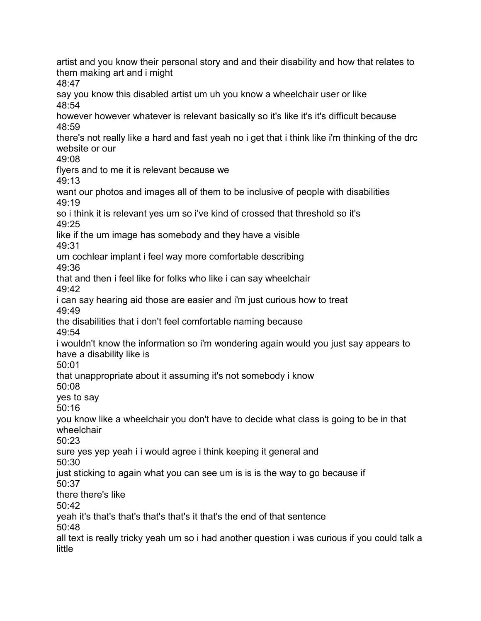artist and you know their personal story and and their disability and how that relates to them making art and i might 48:47 say you know this disabled artist um uh you know a wheelchair user or like 48:54 however however whatever is relevant basically so it's like it's it's difficult because  $48.59$ there's not really like a hard and fast yeah no i get that i think like i'm thinking of the drc website or our 49:08 flyers and to me it is relevant because we 49:13 want our photos and images all of them to be inclusive of people with disabilities 49:19 so i think it is relevant yes um so i've kind of crossed that threshold so it's 49:25 like if the um image has somebody and they have a visible 49:31 um cochlear implant i feel way more comfortable describing 49:36 that and then i feel like for folks who like i can say wheelchair 49:42 i can say hearing aid those are easier and i'm just curious how to treat 49:49 the disabilities that i don't feel comfortable naming because 49:54 i wouldn't know the information so i'm wondering again would you just say appears to have a disability like is 50:01 that unappropriate about it assuming it's not somebody i know 50:08 yes to say 50:16 you know like a wheelchair you don't have to decide what class is going to be in that wheelchair 50:23 sure yes yep yeah i i would agree i think keeping it general and 50:30 just sticking to again what you can see um is is is the way to go because if 50:37 there there's like  $50.42$ yeah it's that's that's that's that's it that's the end of that sentence 50:48 all text is really tricky yeah um so i had another question i was curious if you could talk a little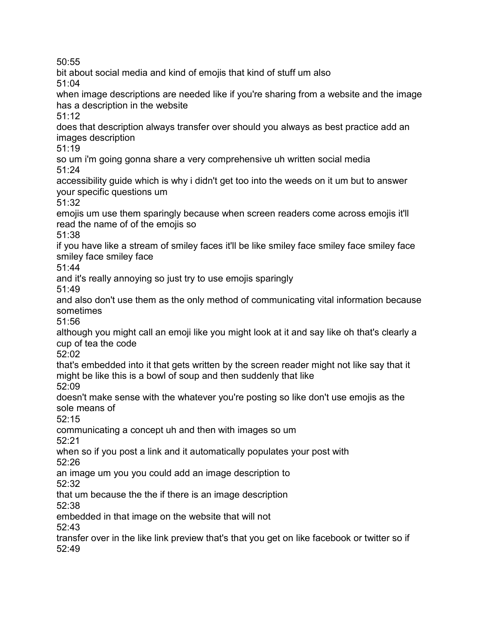50:55

bit about social media and kind of emojis that kind of stuff um also

51:04

when image descriptions are needed like if you're sharing from a website and the image has a description in the website

51:12

does that description always transfer over should you always as best practice add an images description

51:19

so um i'm going gonna share a very comprehensive uh written social media 51:24

accessibility guide which is why i didn't get too into the weeds on it um but to answer your specific questions um

51:32

emojis um use them sparingly because when screen readers come across emojis it'll read the name of of the emojis so

51:38

if you have like a stream of smiley faces it'll be like smiley face smiley face smiley face smiley face smiley face

51:44

and it's really annoying so just try to use emojis sparingly

51:49

and also don't use them as the only method of communicating vital information because sometimes

51:56

although you might call an emoji like you might look at it and say like oh that's clearly a cup of tea the code

52:02

that's embedded into it that gets written by the screen reader might not like say that it might be like this is a bowl of soup and then suddenly that like 52:09

doesn't make sense with the whatever you're posting so like don't use emojis as the sole means of

52:15

communicating a concept uh and then with images so um

52:21

when so if you post a link and it automatically populates your post with 52:26

an image um you you could add an image description to

52:32

that um because the the if there is an image description

52:38

embedded in that image on the website that will not

52:43

transfer over in the like link preview that's that you get on like facebook or twitter so if 52:49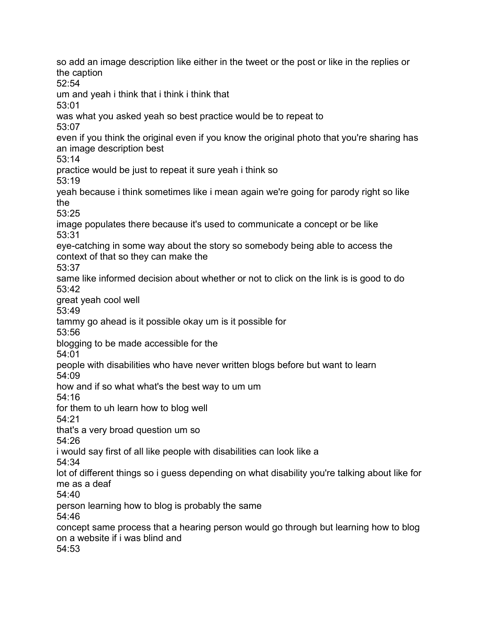so add an image description like either in the tweet or the post or like in the replies or the caption 52:54 um and yeah i think that i think i think that 53:01 was what you asked yeah so best practice would be to repeat to 53:07 even if you think the original even if you know the original photo that you're sharing has an image description best 53:14 practice would be just to repeat it sure yeah i think so 53:19 yeah because i think sometimes like i mean again we're going for parody right so like the 53:25 image populates there because it's used to communicate a concept or be like 53:31 eye-catching in some way about the story so somebody being able to access the context of that so they can make the 53:37 same like informed decision about whether or not to click on the link is is good to do 53:42 great yeah cool well 53:49 tammy go ahead is it possible okay um is it possible for 53:56 blogging to be made accessible for the 54:01 people with disabilities who have never written blogs before but want to learn 54:09 how and if so what what's the best way to um um 54:16 for them to uh learn how to blog well 54:21 that's a very broad question um so 54:26 i would say first of all like people with disabilities can look like a 54:34 lot of different things so i guess depending on what disability you're talking about like for me as a deaf 54:40 person learning how to blog is probably the same 54:46 concept same process that a hearing person would go through but learning how to blog on a website if i was blind and 54:53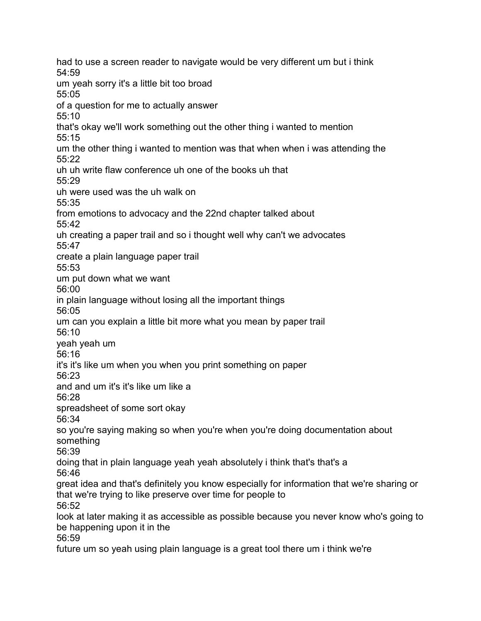had to use a screen reader to navigate would be very different um but i think 54:59 um yeah sorry it's a little bit too broad 55:05 of a question for me to actually answer 55:10 that's okay we'll work something out the other thing i wanted to mention 55:15 um the other thing i wanted to mention was that when when i was attending the 55:22 uh uh write flaw conference uh one of the books uh that 55:29 uh were used was the uh walk on 55:35 from emotions to advocacy and the 22nd chapter talked about 55:42 uh creating a paper trail and so i thought well why can't we advocates 55:47 create a plain language paper trail 55:53 um put down what we want 56:00 in plain language without losing all the important things 56:05 um can you explain a little bit more what you mean by paper trail 56:10 yeah yeah um 56:16 it's it's like um when you when you print something on paper 56:23 and and um it's it's like um like a 56:28 spreadsheet of some sort okay 56:34 so you're saying making so when you're when you're doing documentation about something 56:39 doing that in plain language yeah yeah absolutely i think that's that's a 56:46 great idea and that's definitely you know especially for information that we're sharing or that we're trying to like preserve over time for people to 56:52 look at later making it as accessible as possible because you never know who's going to be happening upon it in the 56:59 future um so yeah using plain language is a great tool there um i think we're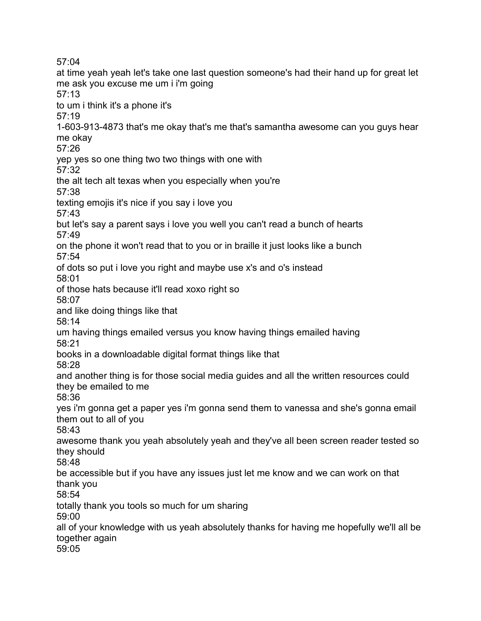57:04

at time yeah yeah let's take one last question someone's had their hand up for great let me ask you excuse me um i i'm going 57:13 to um i think it's a phone it's 57:19 1-603-913-4873 that's me okay that's me that's samantha awesome can you guys hear me okay 57:26 yep yes so one thing two two things with one with 57:32 the alt tech alt texas when you especially when you're 57:38 texting emojis it's nice if you say i love you 57:43 but let's say a parent says i love you well you can't read a bunch of hearts 57:49 on the phone it won't read that to you or in braille it just looks like a bunch 57:54 of dots so put i love you right and maybe use x's and o's instead 58:01 of those hats because it'll read xoxo right so 58:07 and like doing things like that 58:14 um having things emailed versus you know having things emailed having 58:21 books in a downloadable digital format things like that 58:28 and another thing is for those social media guides and all the written resources could they be emailed to me 58:36 yes i'm gonna get a paper yes i'm gonna send them to vanessa and she's gonna email them out to all of you 58:43 awesome thank you yeah absolutely yeah and they've all been screen reader tested so they should 58:48 be accessible but if you have any issues just let me know and we can work on that thank you 58:54 totally thank you tools so much for um sharing 59:00 all of your knowledge with us yeah absolutely thanks for having me hopefully we'll all be together again 59:05